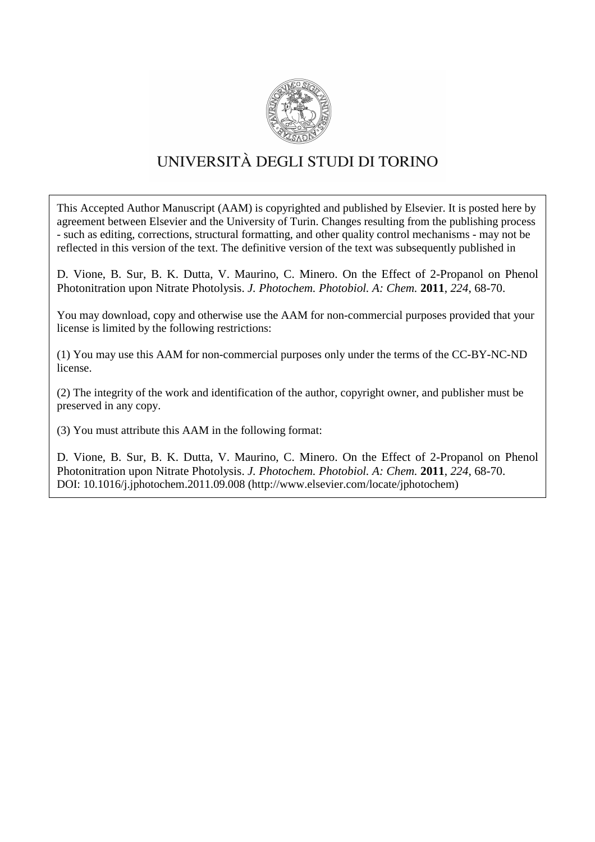

# UNIVERSITÀ DEGLI STUDI DI TORINO

This Accepted Author Manuscript (AAM) is copyrighted and published by Elsevier. It is posted here by agreement between Elsevier and the University of Turin. Changes resulting from the publishing process - such as editing, corrections, structural formatting, and other quality control mechanisms - may not be reflected in this version of the text. The definitive version of the text was subsequently published in

D. Vione, B. Sur, B. K. Dutta, V. Maurino, C. Minero. On the Effect of 2-Propanol on Phenol Photonitration upon Nitrate Photolysis. *J. Photochem. Photobiol. A: Chem.* **2011**, *224*, 68-70.

You may download, copy and otherwise use the AAM for non-commercial purposes provided that your license is limited by the following restrictions:

(1) You may use this AAM for non-commercial purposes only under the terms of the CC-BY-NC-ND license.

(2) The integrity of the work and identification of the author, copyright owner, and publisher must be preserved in any copy.

(3) You must attribute this AAM in the following format:

D. Vione, B. Sur, B. K. Dutta, V. Maurino, C. Minero. On the Effect of 2-Propanol on Phenol Photonitration upon Nitrate Photolysis. *J. Photochem. Photobiol. A: Chem.* **2011**, *224*, 68-70. DOI: 10.1016/j.jphotochem.2011.09.008 (http://www.elsevier.com/locate/jphotochem)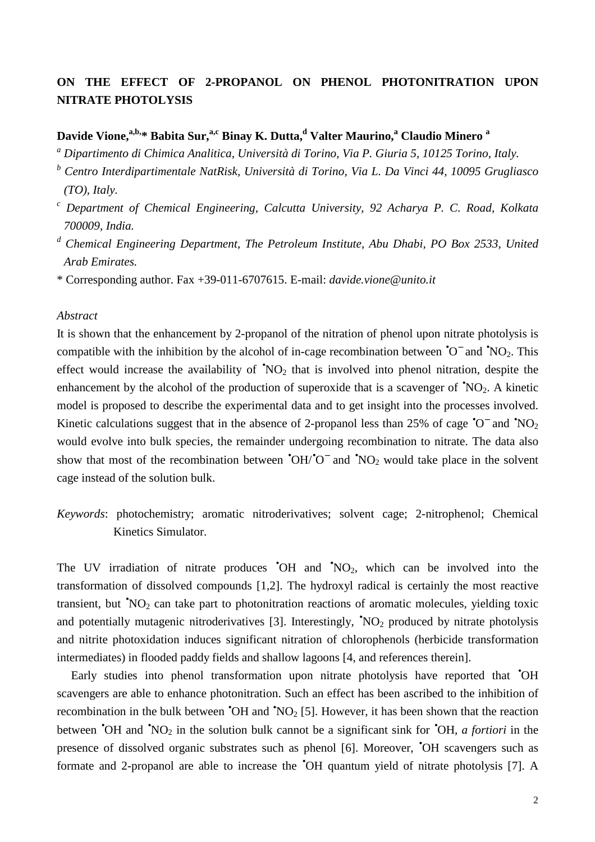## **ON THE EFFECT OF 2-PROPANOL ON PHENOL PHOTONITRATION UPON NITRATE PHOTOLYSIS**

### **Davide Vione,a,b,\* Babita Sur,a,c Binay K. Dutta,<sup>d</sup> Valter Maurino,<sup>a</sup> Claudio Minero <sup>a</sup>**

- *a Dipartimento di Chimica Analitica, Università di Torino, Via P. Giuria 5, 10125 Torino, Italy.*
- *b Centro Interdipartimentale NatRisk, Università di Torino, Via L. Da Vinci 44, 10095 Grugliasco (TO), Italy.*
- *c Department of Chemical Engineering, Calcutta University, 92 Acharya P. C. Road, Kolkata 700009, India.*
- <sup>d</sup> Chemical Engineering Department, The Petroleum Institute, Abu Dhabi, PO Box 2533, United *Arab Emirates.*
- \* Corresponding author. Fax +39-011-6707615. E-mail: *davide.vione@unito.it*

#### *Abstract*

It is shown that the enhancement by 2-propanol of the nitration of phenol upon nitrate photolysis is compatible with the inhibition by the alcohol of in-cage recombination between  $\text{{}^{\bullet}O}^-$  and  $\text{{}^{\bullet}NO}_2$ . This effect would increase the availability of  $\sqrt[4]{102}$  that is involved into phenol nitration, despite the enhancement by the alcohol of the production of superoxide that is a scavenger of  $\text{{\degree}NO}_2$ . A kinetic model is proposed to describe the experimental data and to get insight into the processes involved. Kinetic calculations suggest that in the absence of 2-propanol less than 25% of cage  $\text{°O}^-$  and  $\text{°NO}_2$ would evolve into bulk species, the remainder undergoing recombination to nitrate. The data also show that most of the recombination between  $\text{O}H/\text{O}^-$  and  $\text{NO}_2$  would take place in the solvent cage instead of the solution bulk.

*Keywords*: photochemistry; aromatic nitroderivatives; solvent cage; 2-nitrophenol; Chemical Kinetics Simulator.

The UV irradiation of nitrate produces  $\bullet$ OH and  $\bullet$ NO<sub>2</sub>, which can be involved into the transformation of dissolved compounds [1,2]. The hydroxyl radical is certainly the most reactive transient, but  $\sqrt[4]{NO_2}$  can take part to photonitration reactions of aromatic molecules, yielding toxic and potentially mutagenic nitroderivatives [3]. Interestingly,  $\sqrt[8]{NO_2}$  produced by nitrate photolysis and nitrite photoxidation induces significant nitration of chlorophenols (herbicide transformation intermediates) in flooded paddy fields and shallow lagoons [4, and references therein].

Early studies into phenol transformation upon nitrate photolysis have reported that <sup>•</sup>OH scavengers are able to enhance photonitration. Such an effect has been ascribed to the inhibition of recombination in the bulk between  $\text{°OH}$  and  $\text{°NO}_2$  [5]. However, it has been shown that the reaction between **OH** and **NO**<sub>2</sub> in the solution bulk cannot be a significant sink for **OH**, *a fortiori* in the presence of dissolved organic substrates such as phenol [6]. Moreover, •OH scavengers such as formate and 2-propanol are able to increase the •OH quantum yield of nitrate photolysis [7]. A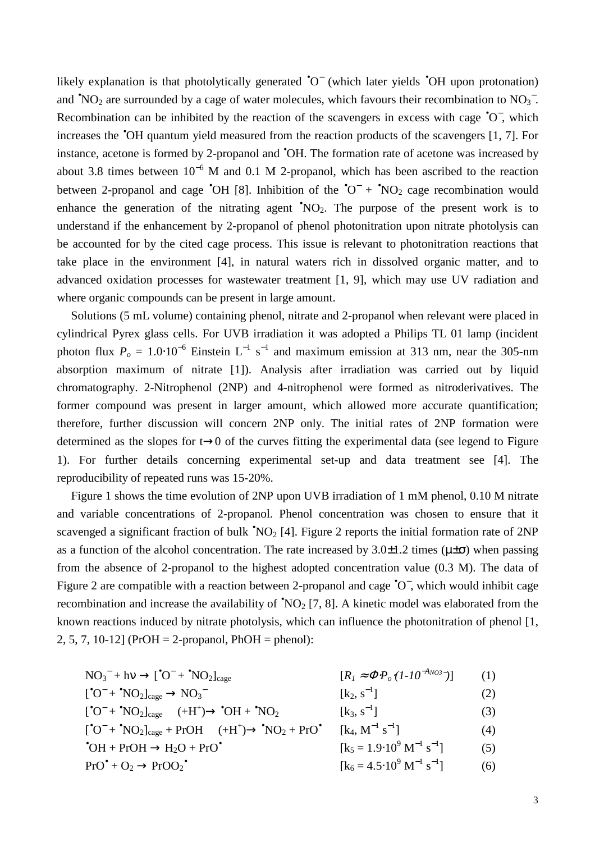likely explanation is that photolytically generated  $\textdegree O^-$  (which later yields  $\textdegree OH$  upon protonation) and  $^{\bullet}NO_2$  are surrounded by a cage of water molecules, which favours their recombination to  $NO_3^-$ . Recombination can be inhibited by the reaction of the scavengers in excess with cage  $\textdegree O^-$ , which increases the •OH quantum yield measured from the reaction products of the scavengers [1, 7]. For instance, acetone is formed by 2-propanol and •OH. The formation rate of acetone was increased by about 3.8 times between  $10^{-6}$  M and 0.1 M 2-propanol, which has been ascribed to the reaction between 2-propanol and cage  $\text{O}_H$  [8]. Inhibition of the  $\text{O}^-$  +  $\text{NO}_2$  cage recombination would enhance the generation of the nitrating agent  $NO_2$ . The purpose of the present work is to understand if the enhancement by 2-propanol of phenol photonitration upon nitrate photolysis can be accounted for by the cited cage process. This issue is relevant to photonitration reactions that take place in the environment [4], in natural waters rich in dissolved organic matter, and to advanced oxidation processes for wastewater treatment [1, 9], which may use UV radiation and where organic compounds can be present in large amount.

Solutions (5 mL volume) containing phenol, nitrate and 2-propanol when relevant were placed in cylindrical Pyrex glass cells. For UVB irradiation it was adopted a Philips TL 01 lamp (incident photon flux  $P_o = 1.0 \cdot 10^{-6}$  Einstein L<sup>-1</sup> s<sup>-1</sup> and maximum emission at 313 nm, near the 305-nm absorption maximum of nitrate [1]). Analysis after irradiation was carried out by liquid chromatography. 2-Nitrophenol (2NP) and 4-nitrophenol were formed as nitroderivatives. The former compound was present in larger amount, which allowed more accurate quantification; therefore, further discussion will concern 2NP only. The initial rates of 2NP formation were determined as the slopes for t→0 of the curves fitting the experimental data (see legend to Figure 1). For further details concerning experimental set-up and data treatment see [4]. The reproducibility of repeated runs was 15-20%.

Figure 1 shows the time evolution of 2NP upon UVB irradiation of 1 mM phenol, 0.10 M nitrate and variable concentrations of 2-propanol. Phenol concentration was chosen to ensure that it scavenged a significant fraction of bulk  $\text{NO}_2$  [4]. Figure 2 reports the initial formation rate of 2NP as a function of the alcohol concentration. The rate increased by  $3.0\pm1.2$  times ( $\mu\pm\sigma$ ) when passing from the absence of 2-propanol to the highest adopted concentration value (0.3 M). The data of Figure 2 are compatible with a reaction between 2-propanol and cage  $\textdegree O^-$ , which would inhibit cage recombination and increase the availability of  $\sqrt[4]{NQ_2}$  [7, 8]. A kinetic model was elaborated from the known reactions induced by nitrate photolysis, which can influence the photonitration of phenol [1, 2, 5, 7, 10-12] (PrOH = 2-propanol, PhOH = phenol):

$$
NO_3^- + hv \rightarrow [^{\bullet}O^- + ^{\bullet}NO_2]_{cage} \qquad [R_I \approx \Phi P_o (I - I0^{-A_{NO3-}})] \qquad (1)
$$

$$
[^{\bullet}O^{-} + \bullet NO_{2}]_{\text{cage}} \to NO_{3}^{-} \qquad \qquad [k_{2}, s^{-1}] \qquad (2)
$$

$$
[^{\bullet}O^{-} + \bullet NO_{2}]_{cage} \longrightarrow (+H^{+}) \longrightarrow \bullet OH + \bullet NO_{2} \qquad [k_{3}, s^{-1}]
$$
 (3)

- $[^{\bullet}O^{-}+^{\bullet}NO_{2}]_{cage} + ProH \longrightarrow (+H^{+}) \longrightarrow \mathbf{^{\bullet}NO_{2}} + Pro^{\bullet}$  $\rm [k_4,\,M^{-1}\ s^{-1}$  $(4)$  $\bullet$ OH + PrOH  $\rightarrow$  H<sub>2</sub>O + PrO $\bullet$  $\left[ k_5 = 1.9 \cdot 10^9 \, \mathrm{M}^{-1} \, \mathrm{s}^{-1} \right]$  $(5)$
- $Pro^{\bullet} + O_2 \rightarrow ProO_2^{\bullet}$  $\rm [k_{6}\,{=}\,4.5 {\cdot}10^{9} \, M^{-1} \, s^{-1}$  $(6)$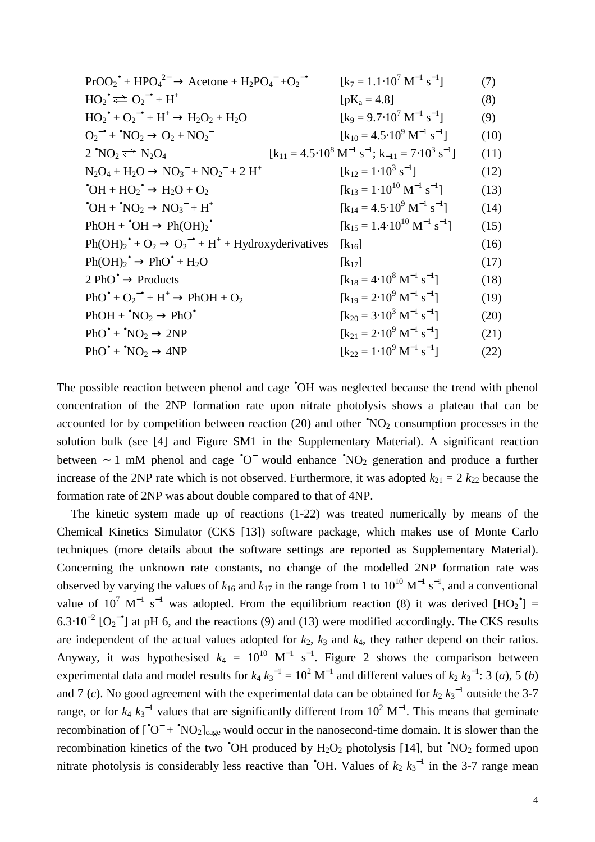| $ProO_2^{\bullet} + HPO_4^{2-} \rightarrow Acctone + H_2PO_4^- + O_2^{-\bullet}$                     | $[k_7 = 1.1 \cdot 10^7 \text{ M}^{-1} \text{ s}^{-1}]$                                   | (7)  |
|------------------------------------------------------------------------------------------------------|------------------------------------------------------------------------------------------|------|
| $HO_2^{\bullet} \rightleftarrows O_2^{\bullet} + H^+$                                                | $[pK_a = 4.8]$                                                                           | (8)  |
| $HO_2^{\bullet} + O_2^{\bullet} + H^+ \rightarrow H_2O_2 + H_2O$                                     | $[k_9 = 9.7 \cdot 10^7 \text{ M}^{-1} \text{ s}^{-1}]$                                   | (9)  |
| $Q_2^{\bullet}$ + $\text{NO}_2 \rightarrow Q_2 + NO_2^{\bullet}$                                     | $[k_{10} = 4.5.10^{9} \text{ M}^{-1} \text{ s}^{-1}]$                                    | (10) |
| $2^{\bullet}NO_2 \rightleftarrows N_2O_4$                                                            | $[k_{11} = 4.5.10^{8} \text{ M}^{-1} \text{ s}^{-1}; k_{-11} = 7.10^{3} \text{ s}^{-1}]$ | (11) |
| $N_2O_4 + H_2O \rightarrow NO_3^- + NO_2^- + 2 H^+$                                                  | $[k_{12} = 1.10^3 s^{-1}]$                                                               | (12) |
| $\bullet$ OH + HO <sub>2</sub> $\bullet$ → H <sub>2</sub> O + O <sub>2</sub>                         | $[k_{13} = 1.10^{10} M^{-1} s^{-1}]$                                                     | (13) |
| $\bullet$ OH + $\bullet$ NO <sub>2</sub> $\rightarrow$ NO <sub>3</sub> <sup>-</sup> + H <sup>+</sup> | $[k_{14} = 4.5 \cdot 10^9 \text{ M}^{-1} \text{ s}^{-1}]$                                | (14) |
| $PhOH + OH \rightarrow Ph(OH)2$                                                                      | $\begin{bmatrix} k_{15} = 1.4 \cdot 10^{10} \text{ M}^{-1} \text{ s}^{-1} \end{bmatrix}$ | (15) |
| $Ph(OH)2* + O2 \rightarrow O2-* + H+ + Hydroxyderivatives$                                           | $\left[\mathrm{k}_{16}\right]$                                                           | (16) |
| $Ph(OH)2• \rightarrow PhO• + H2O$                                                                    | $\left[\mathrm{k}_{17}\right]$                                                           | (17) |
| $2 \text{ PhO}^{\bullet} \rightarrow$ Products                                                       | $[k_{18} = 4.10^8 \text{ M}^{-1} \text{ s}^{-1}]$                                        | (18) |
| $PhO^{\bullet} + O_2^{-\bullet} + H^+ \rightarrow PhOH + O_2$                                        | $[k_{19} = 2.10^9 \text{ M}^{-1} \text{ s}^{-1}]$                                        | (19) |
| $PhOH + \n^{\bullet} NO_2 \rightarrow PhO^{\bullet}$                                                 | $[k_{20} = 3.10^3 \text{ M}^{-1} \text{ s}^{-1}]$                                        | (20) |
| $PhO^{\bullet}$ + $^{\bullet}NO_2 \rightarrow 2NP$                                                   | $[k_{21} = 2.10^9 \text{ M}^{-1} \text{ s}^{-1}]$                                        | (21) |
| $PhO^{\bullet}$ + $^{*}NO_{2}$ $\rightarrow$ 4NP                                                     | $[k_{22} = 1.10^9 \text{ M}^{-1} \text{ s}^{-1}]$                                        | (22) |
|                                                                                                      |                                                                                          |      |

The possible reaction between phenol and cage <sup>\*</sup>OH was neglected because the trend with phenol concentration of the 2NP formation rate upon nitrate photolysis shows a plateau that can be accounted for by competition between reaction (20) and other  $\text{{}^{•}NO_{2}}$  consumption processes in the solution bulk (see [4] and Figure SM1 in the Supplementary Material). A significant reaction between ~ 1 mM phenol and cage  $\text{°O}^-$  would enhance  $\text{°NO}_2$  generation and produce a further increase of the 2NP rate which is not observed. Furthermore, it was adopted  $k_{21} = 2$   $k_{22}$  because the formation rate of 2NP was about double compared to that of 4NP.

The kinetic system made up of reactions (1-22) was treated numerically by means of the Chemical Kinetics Simulator (CKS [13]) software package, which makes use of Monte Carlo techniques (more details about the software settings are reported as Supplementary Material). Concerning the unknown rate constants, no change of the modelled 2NP formation rate was observed by varying the values of  $k_{16}$  and  $k_{17}$  in the range from 1 to  $10^{10}$  M<sup>-1</sup> s<sup>-1</sup>, and a conventional value of 10<sup>7</sup> M<sup>-1</sup> s<sup>-1</sup> was adopted. From the equilibrium reaction (8) it was derived  $[HO_2^{\bullet}]$  =  $6.3 \cdot 10^{-2}$  [O<sub>2</sub><sup>-•</sup>] at pH 6, and the reactions (9) and (13) were modified accordingly. The CKS results are independent of the actual values adopted for  $k_2$ ,  $k_3$  and  $k_4$ , they rather depend on their ratios. Anyway, it was hypothesised  $k_4 = 10^{10} \text{ M}^{-1} \text{ s}^{-1}$ . Figure 2 shows the comparison between experimental data and model results for  $k_4 k_3^{-1} = 10^2 \text{ M}^{-1}$  and different values of  $k_2 k_3^{-1}$ : 3 (*a*), 5 (*b*) and 7 (*c*). No good agreement with the experimental data can be obtained for  $k_2 k_3^{-1}$  outside the 3-7 range, or for  $k_4 k_3^{-1}$  values that are significantly different from  $10^2$  M<sup>-1</sup>. This means that geminate recombination of  $[^{\bullet}O^{-} + ^{\bullet}NO_{2}]_{\text{cage}}$  would occur in the nanosecond-time domain. It is slower than the recombination kinetics of the two  $\textdegree$ OH produced by  $\text{H}_2\text{O}_2$  photolysis [14], but  $\textdegree$ NO<sub>2</sub> formed upon nitrate photolysis is considerably less reactive than <sup>•</sup>OH. Values of  $k_2$   $k_3$ <sup>-1</sup> in the 3-7 range mean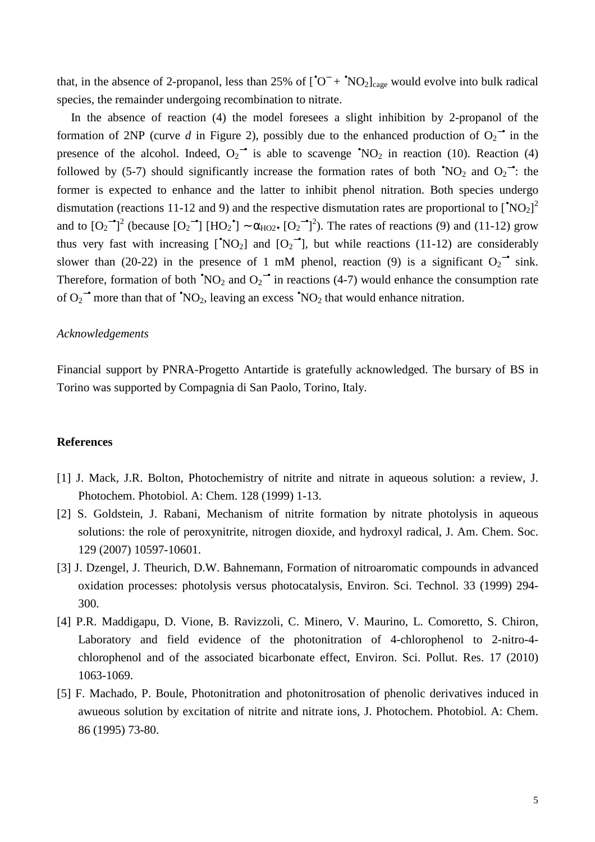that, in the absence of 2-propanol, less than 25% of  $[^{\circ}O^{-} + \circ NO_{2}]_{\text{cage}}$  would evolve into bulk radical species, the remainder undergoing recombination to nitrate.

In the absence of reaction (4) the model foresees a slight inhibition by 2-propanol of the formation of 2NP (curve *d* in Figure 2), possibly due to the enhanced production of  $O_2$ <sup>-•</sup> in the presence of the alcohol. Indeed,  $O_2^{\bullet}$  is able to scavenge  $\text{NO}_2$  in reaction (10). Reaction (4) followed by (5-7) should significantly increase the formation rates of both  $\text{{}^{6}NO_2}$  and  $O_2^{\bullet}$ : the former is expected to enhance and the latter to inhibit phenol nitration. Both species undergo dismutation (reactions 11-12 and 9) and the respective dismutation rates are proportional to  $[^{\circ}NO_{2}]^{2}$ and to  $[O_2^{\bullet}]^2$  (because  $[O_2^{\bullet}]$   $[HO_2^{\bullet}] \sim \alpha_{HO2\bullet} [O_2^{\bullet}]^2$ ). The rates of reactions (9) and (11-12) grow thus very fast with increasing [<sup>•</sup>NO<sub>2</sub>] and  $[O_2]$ <sup>-•</sup>], but while reactions (11-12) are considerably slower than (20-22) in the presence of 1 mM phenol, reaction (9) is a significant  $O_2^{\bullet}$  sink. Therefore, formation of both  $\text{{\degree}NO}_2$  and  $O_2 \text{{\degree}~}$  in reactions (4-7) would enhance the consumption rate of  $O_2$ <sup>-•</sup> more than that of <sup>•</sup>NO<sub>2</sub>, leaving an excess <sup>•</sup>NO<sub>2</sub> that would enhance nitration.

#### *Acknowledgements*

Financial support by PNRA-Progetto Antartide is gratefully acknowledged. The bursary of BS in Torino was supported by Compagnia di San Paolo, Torino, Italy.

#### **References**

- [1] J. Mack, J.R. Bolton, Photochemistry of nitrite and nitrate in aqueous solution: a review, J. Photochem. Photobiol. A: Chem. 128 (1999) 1-13.
- [2] S. Goldstein, J. Rabani, Mechanism of nitrite formation by nitrate photolysis in aqueous solutions: the role of peroxynitrite, nitrogen dioxide, and hydroxyl radical, J. Am. Chem. Soc. 129 (2007) 10597-10601.
- [3] J. Dzengel, J. Theurich, D.W. Bahnemann, Formation of nitroaromatic compounds in advanced oxidation processes: photolysis versus photocatalysis, Environ. Sci. Technol. 33 (1999) 294- 300.
- [4] P.R. Maddigapu, D. Vione, B. Ravizzoli, C. Minero, V. Maurino, L. Comoretto, S. Chiron, Laboratory and field evidence of the photonitration of 4-chlorophenol to 2-nitro-4 chlorophenol and of the associated bicarbonate effect, Environ. Sci. Pollut. Res. 17 (2010) 1063-1069.
- [5] F. Machado, P. Boule, Photonitration and photonitrosation of phenolic derivatives induced in awueous solution by excitation of nitrite and nitrate ions, J. Photochem. Photobiol. A: Chem. 86 (1995) 73-80.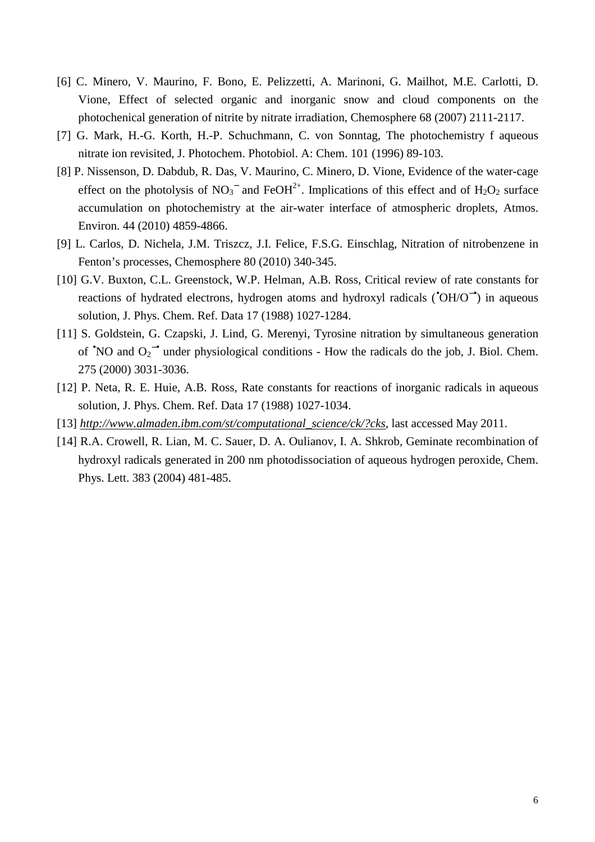- [6] C. Minero, V. Maurino, F. Bono, E. Pelizzetti, A. Marinoni, G. Mailhot, M.E. Carlotti, D. Vione, Effect of selected organic and inorganic snow and cloud components on the photochenical generation of nitrite by nitrate irradiation, Chemosphere 68 (2007) 2111-2117.
- [7] G. Mark, H.-G. Korth, H.-P. Schuchmann, C. von Sonntag, The photochemistry f aqueous nitrate ion revisited, J. Photochem. Photobiol. A: Chem. 101 (1996) 89-103.
- [8] P. Nissenson, D. Dabdub, R. Das, V. Maurino, C. Minero, D. Vione, Evidence of the water-cage effect on the photolysis of NO<sub>3</sub><sup>-</sup> and FeOH<sup>2+</sup>. Implications of this effect and of H<sub>2</sub>O<sub>2</sub> surface accumulation on photochemistry at the air-water interface of atmospheric droplets, Atmos. Environ. 44 (2010) 4859-4866.
- [9] L. Carlos, D. Nichela, J.M. Triszcz, J.I. Felice, F.S.G. Einschlag, Nitration of nitrobenzene in Fenton's processes, Chemosphere 80 (2010) 340-345.
- [10] G.V. Buxton, C.L. Greenstock, W.P. Helman, A.B. Ross, Critical review of rate constants for reactions of hydrated electrons, hydrogen atoms and hydroxyl radicals (•OH/O−•) in aqueous solution, J. Phys. Chem. Ref. Data 17 (1988) 1027-1284.
- [11] S. Goldstein, G. Czapski, J. Lind, G. Merenyi, Tyrosine nitration by simultaneous generation of  $\textdegree'NO$  and  $O_2^{\bullet}$  under physiological conditions - How the radicals do the job, J. Biol. Chem. 275 (2000) 3031-3036.
- [12] P. Neta, R. E. Huie, A.B. Ross, Rate constants for reactions of inorganic radicals in aqueous solution, J. Phys. Chem. Ref. Data 17 (1988) 1027-1034.
- [13] *http://www.almaden.ibm.com/st/computational\_science/ck/?cks*, last accessed May 2011.
- [14] R.A. Crowell, R. Lian, M. C. Sauer, D. A. Oulianov, I. A. Shkrob, Geminate recombination of hydroxyl radicals generated in 200 nm photodissociation of aqueous hydrogen peroxide, Chem. Phys. Lett. 383 (2004) 481-485.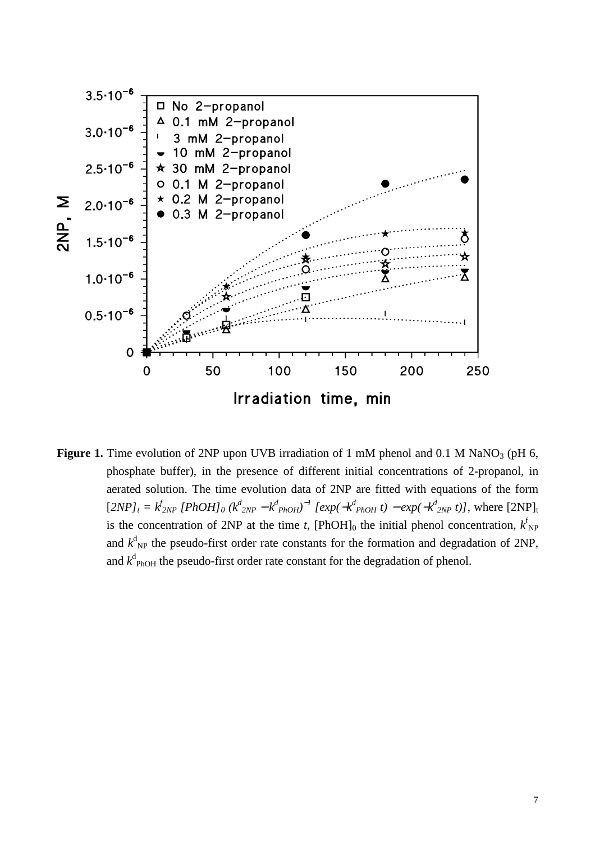

**Figure 1.** Time evolution of 2NP upon UVB irradiation of 1 mM phenol and 0.1 M NaNO<sub>3</sub> (pH 6, phosphate buffer), in the presence of different initial concentrations of 2-propanol, in aerated solution. The time evolution data of 2NP are fitted with equations of the form  $[2NP]_t = k_{2NP}^f [PhOH]_0 (k_{2NP}^d - k_{PhOH}^d)^{-1} [exp(-k_{PhOH}^d t) - exp(-k_{2NP}^d t)]$ , where  $[2NP]_t$ is the concentration of 2NP at the time *t*, [PhOH]<sub>0</sub> the initial phenol concentration,  $k_{\text{NP}}^{\text{f}}$ and  $k_{\text{NP}}^d$  the pseudo-first order rate constants for the formation and degradation of 2NP, and  $k_{\text{PhOH}}^d$  the pseudo-first order rate constant for the degradation of phenol.